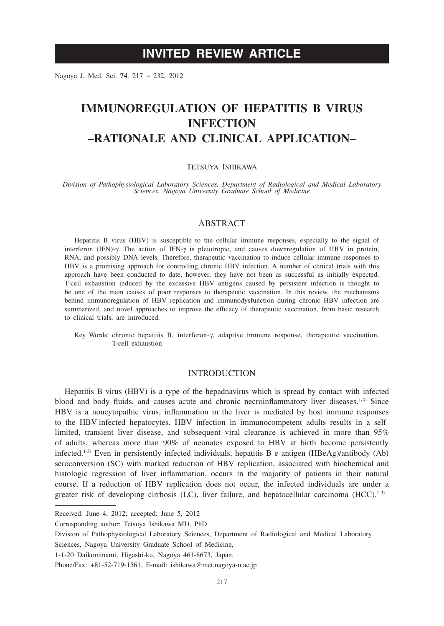# **INVITED REVIEW ARTICLE**

Nagoya J. Med. Sci. **74**. 217 ~ 232, 2012

# **IMMUNOREGULATION OF HEPATITIS B VIRUS INFECTION –RATIONALE AND CLINICAL APPLICATION–**

# TETSUYA ISHIKAWA

*Division of Pathophysiological Laboratory Sciences, Department of Radiological and Medical Laboratory Sciences, Nagoya University Graduate School of Medicine*

# **ABSTRACT**

Hepatitis B virus (HBV) is susceptible to the cellular immune responses, especially to the signal of interferon (IFN)- $\gamma$ . The action of IFN- $\gamma$  is pleiotropic, and causes downregulation of HBV in protein, RNA, and possibly DNA levels. Therefore, therapeutic vaccination to induce cellular immune responses to HBV is a promising approach for controlling chronic HBV infection. A number of clinical trials with this approach have been conducted to date, however, they have not been as successful as initially expected. T-cell exhaustion induced by the excessive HBV antigens caused by persistent infection is thought to be one of the main causes of poor responses to therapeutic vaccination. In this review, the mechanisms behind immunoregulation of HBV replication and immunodysfunction during chronic HBV infection are summarized, and novel approaches to improve the efficacy of therapeutic vaccination, from basic research to clinical trials, are introduced.

Key Words: chronic hepatitis B, interferon- $\gamma$ , adaptive immune response, therapeutic vaccination, T-cell exhaustion

# INTRODUCTION

Hepatitis B virus (HBV) is a type of the hepadnavirus which is spread by contact with infected blood and body fluids, and causes acute and chronic necroinflammatory liver diseases.<sup>1-3)</sup> Since HBV is a noncytopathic virus, inflammation in the liver is mediated by host immune responses to the HBV-infected hepatocytes. HBV infection in immunocompetent adults results in a selflimited, transient liver disease, and subsequent viral clearance is achieved in more than 95% of adults, whereas more than 90% of neonates exposed to HBV at birth become persistently infected.<sup>1-3)</sup> Even in persistently infected individuals, hepatitis B e antigen (HBeAg)/antibody (Ab) seroconversion (SC) with marked reduction of HBV replication, associated with biochemical and histologic regression of liver inflammation, occurs in the majority of patients in their natural course. If a reduction of HBV replication does not occur, the infected individuals are under a greater risk of developing cirrhosis (LC), liver failure, and hepatocellular carcinoma  $(HCC)^{1-3}$ 

Received: June 4, 2012; accepted: June 5, 2012

Corresponding author: Tetsuya Ishikawa MD, PhD

Division of Pathophysiological Laboratory Sciences, Department of Radiological and Medical Laboratory

Sciences, Nagoya University Graduate School of Medicine,

<sup>1-1-20</sup> Daikominami, Higashi-ku, Nagoya 461-8673, Japan.

Phone/Fax: +81-52-719-1561, E-mail: ishikawa@met.nagoya-u.ac.jp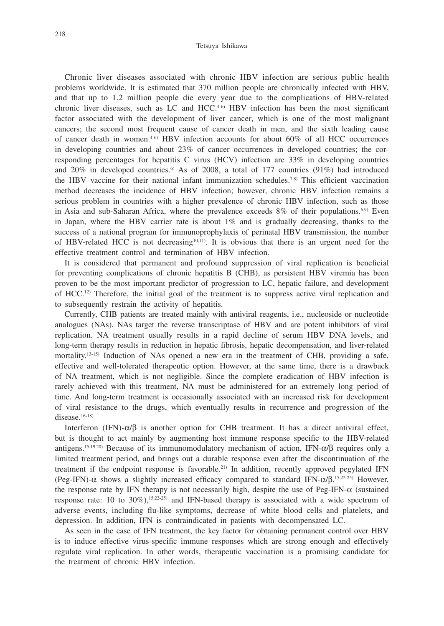Chronic liver diseases associated with chronic HBV infection are serious public health problems worldwide. It is estimated that 370 million people are chronically infected with HBV, and that up to 1.2 million people die every year due to the complications of HBV-related chronic liver diseases, such as LC and HCC. $4-6$  HBV infection has been the most significant factor associated with the development of liver cancer, which is one of the most malignant cancers; the second most frequent cause of cancer death in men, and the sixth leading cause of cancer death in women. $4-6$ ) HBV infection accounts for about  $60\%$  of all HCC occurrences in developing countries and about 23% of cancer occurrences in developed countries; the corresponding percentages for hepatitis C virus (HCV) infection are 33% in developing countries and 20% in developed countries.<sup>6)</sup> As of 2008, a total of 177 countries (91%) had introduced the HBV vaccine for their national infant immunization schedules.7,8) This efficient vaccination method decreases the incidence of HBV infection; however, chronic HBV infection remains a serious problem in countries with a higher prevalence of chronic HBV infection, such as those in Asia and sub-Saharan Africa, where the prevalence exceeds  $8\%$  of their populations.<sup>6,9)</sup> Even in Japan, where the HBV carrier rate is about  $1\%$  and is gradually decreasing, thanks to the success of a national program for immunoprophylaxis of perinatal HBV transmission, the number of HBV-related HCC is not decreasing<sup>10,11)</sup>. It is obvious that there is an urgent need for the effective treatment control and termination of HBV infection.

It is considered that permanent and profound suppression of viral replication is beneficial for preventing complications of chronic hepatitis B (CHB), as persistent HBV viremia has been proven to be the most important predictor of progression to LC, hepatic failure, and development of  $HCC<sup>(12)</sup>$  Therefore, the initial goal of the treatment is to suppress active viral replication and to subsequently restrain the activity of hepatitis.

Currently, CHB patients are treated mainly with antiviral reagents, i.e., nucleoside or nucleotide analogues (NAs). NAs target the reverse transcriptase of HBV and are potent inhibitors of viral replication. NA treatment usually results in a rapid decline of serum HBV DNA levels, and long-term therapy results in reduction in hepatic fibrosis, hepatic decompensation, and liver-related mortality.<sup>13-15)</sup> Induction of NAs opened a new era in the treatment of CHB, providing a safe, effective and well-tolerated therapeutic option. However, at the same time, there is a drawback of NA treatment, which is not negligible. Since the complete eradication of HBV infection is rarely achieved with this treatment, NA must be administered for an extremely long period of time. And long-term treatment is occasionally associated with an increased risk for development of viral resistance to the drugs, which eventually results in recurrence and progression of the disease.<sup>16-18)</sup>

Interferon (IFN)- $\alpha/\beta$  is another option for CHB treatment. It has a direct antiviral effect, but is thought to act mainly by augmenting host immune response specific to the HBV-related antigens.<sup>15,19,20)</sup> Because of its immunomodulatory mechanism of action, IFN- $\alpha/\beta$  requires only a limited treatment period, and brings out a durable response even after the discontinuation of the treatment if the endpoint response is favorable.21) In addition, recently approved pegylated IFN (Peg-IFN)- $\alpha$  shows a slightly increased efficacy compared to standard IFN- $\alpha/\beta$ .<sup>15,22-25</sup>) However, the response rate by IFN therapy is not necessarily high, despite the use of Peg-IFN- $\alpha$  (sustained response rate: 10 to  $30\%$ ),<sup>15,22-25)</sup> and IFN-based therapy is associated with a wide spectrum of adverse events, including flu-like symptoms, decrease of white blood cells and platelets, and depression. In addition, IFN is contraindicated in patients with decompensated LC.

As seen in the case of IFN treatment, the key factor for obtaining permanent control over HBV is to induce effective virus-specific immune responses which are strong enough and effectively regulate viral replication. In other words, therapeutic vaccination is a promising candidate for the treatment of chronic HBV infection.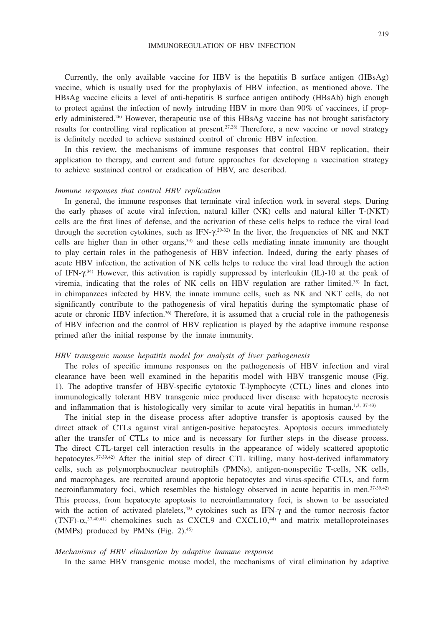Currently, the only available vaccine for HBV is the hepatitis B surface antigen (HBsAg) vaccine, which is usually used for the prophylaxis of HBV infection, as mentioned above. The HBsAg vaccine elicits a level of anti-hepatitis B surface antigen antibody (HBsAb) high enough to protect against the infection of newly intruding HBV in more than 90% of vaccinees, if properly administered.26) However, therapeutic use of this HBsAg vaccine has not brought satisfactory results for controlling viral replication at present.27.28) Therefore, a new vaccine or novel strategy is definitely needed to achieve sustained control of chronic HBV infection.

In this review, the mechanisms of immune responses that control HBV replication, their application to therapy, and current and future approaches for developing a vaccination strategy to achieve sustained control or eradication of HBV, are described.

## *Immune responses that control HBV replication*

In general, the immune responses that terminate viral infection work in several steps. During the early phases of acute viral infection, natural killer (NK) cells and natural killer T-(NKT) cells are the first lines of defense, and the activation of these cells helps to reduce the viral load through the secretion cytokines, such as  $IFN-\gamma^{29-32}$  In the liver, the frequencies of NK and NKT cells are higher than in other organs,33) and these cells mediating innate immunity are thought to play certain roles in the pathogenesis of HBV infection. Indeed, during the early phases of acute HBV infection, the activation of NK cells helps to reduce the viral load through the action of IFN- $\gamma$ .<sup>34)</sup> However, this activation is rapidly suppressed by interleukin (IL)-10 at the peak of viremia, indicating that the roles of NK cells on HBV regulation are rather limited.<sup>35)</sup> In fact, in chimpanzees infected by HBV, the innate immune cells, such as NK and NKT cells, do not significantly contribute to the pathogenesis of viral hepatitis during the symptomatic phase of acute or chronic HBV infection.<sup>36)</sup> Therefore, it is assumed that a crucial role in the pathogenesis of HBV infection and the control of HBV replication is played by the adaptive immune response primed after the initial response by the innate immunity.

## *HBV transgenic mouse hepatitis model for analysis of liver pathogenesis*

The roles of specific immune responses on the pathogenesis of HBV infection and viral clearance have been well examined in the hepatitis model with HBV transgenic mouse (Fig. 1). The adoptive transfer of HBV-specific cytotoxic T-lymphocyte (CTL) lines and clones into immunologically tolerant HBV transgenic mice produced liver disease with hepatocyte necrosis and inflammation that is histologically very similar to acute viral hepatitis in human.<sup>1,3, 37-43)</sup>

The initial step in the disease process after adoptive transfer is apoptosis caused by the direct attack of CTLs against viral antigen-positive hepatocytes. Apoptosis occurs immediately after the transfer of CTLs to mice and is necessary for further steps in the disease process. The direct CTL-target cell interaction results in the appearance of widely scattered apoptotic hepatocytes.<sup>37-39,42</sup>) After the initial step of direct CTL killing, many host-derived inflammatory cells, such as polymorphocnuclear neutrophils (PMNs), antigen-nonspecific T-cells, NK cells, and macrophages, are recruited around apoptotic hepatocytes and virus-specific CTLs, and form necroinflammatory foci, which resembles the histology observed in acute hepatitis in men. $37-39,42$ ) This process, from hepatocyte apoptosis to necroinflammatory foci, is shown to be associated with the action of activated platelets,<sup>43)</sup> cytokines such as IFN- $\gamma$  and the tumor necrosis factor (TNF)- $\alpha$ ,<sup>37,40,41</sup>) chemokines such as CXCL9 and CXCL10,<sup>44</sup>) and matrix metalloproteinases (MMPs) produced by PMNs (Fig. 2).45)

#### *Mechanisms of HBV elimination by adaptive immune response*

In the same HBV transgenic mouse model, the mechanisms of viral elimination by adaptive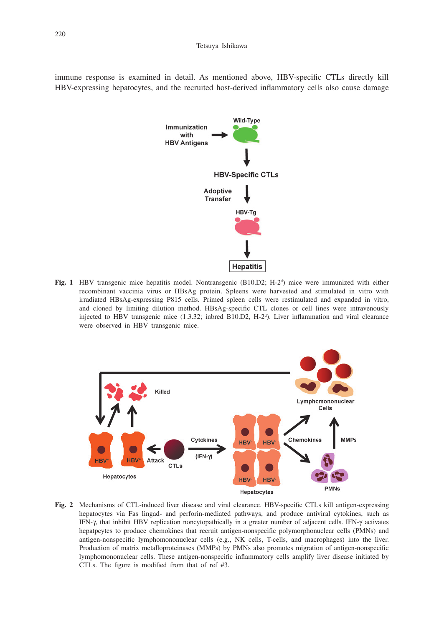immune response is examined in detail. As mentioned above, HBV-specific CTLs directly kill HBV-expressing hepatocytes, and the recruited host-derived inflammatory cells also cause damage



**Fig. 1** HBV transgenic mice hepatitis model. Nontransgenic (B10.D2; H-2<sup>d</sup>) mice were immunized with either recombinant vaccinia virus or HBsAg protein. Spleens were harvested and stimulated in vitro with irradiated HBsAg-expressing P815 cells. Primed spleen cells were restimulated and expanded in vitro, and cloned by limiting dilution method. HBsAg-specific CTL clones or cell lines were intravenously injected to HBV transgenic mice (1.3.32; inbred B10.D2, H-2<sup>d</sup>). Liver inflammation and viral clearance were observed in HBV transgenic mice.



**Fig. 2** Mechanisms of CTL-induced liver disease and viral clearance. HBV-specific CTLs kill antigen-expressing hepatocytes via Fas lingad- and perforin-mediated pathways, and produce antiviral cytokines, such as IFN-g, that inhibit HBV replication noncytopathically in a greater number of adjacent cells. IFN-g activates hepatpcytes to produce chemokines that recruit antigen-nonspecific polymorphonuclear cells (PMNs) and antigen-nonspecific lymphomononuclear cells (e.g., NK cells, T-cells, and macrophages) into the liver. Production of matrix metalloproteinases (MMPs) by PMNs also promotes migration of antigen-nonspecific lymphomononuclear cells. These antigen-nonspecific inflammatory cells amplify liver disease initiated by CTLs. The figure is modified from that of ref #3.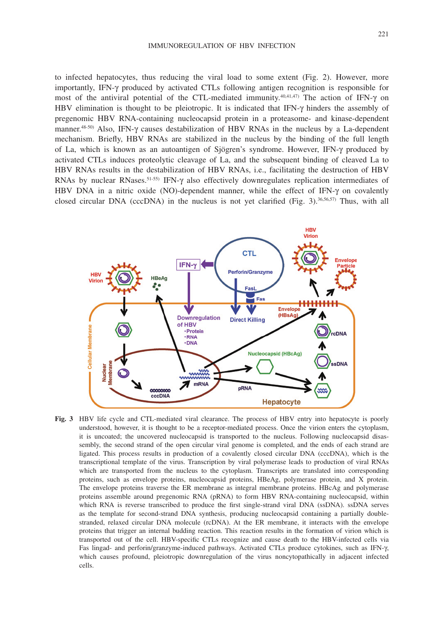to infected hepatocytes, thus reducing the viral load to some extent (Fig. 2). However, more importantly, IFN-g produced by activated CTLs following antigen recognition is responsible for most of the antiviral potential of the CTL-mediated immunity.<sup>40,41,47)</sup> The action of IFN- $\gamma$  on HBV elimination is thought to be pleiotropic. It is indicated that IFN- $\gamma$  hinders the assembly of pregenomic HBV RNA-containing nucleocapsid protein in a proteasome- and kinase-dependent manner.<sup>48-50)</sup> Also, IFN- $\gamma$  causes destabilization of HBV RNAs in the nucleus by a La-dependent mechanism. Briefly, HBV RNAs are stabilized in the nucleus by the binding of the full length of La, which is known as an autoantigen of Sjögren's syndrome. However, IFN-g produced by activated CTLs induces proteolytic cleavage of La, and the subsequent binding of cleaved La to HBV RNAs results in the destabilization of HBV RNAs, i.e., facilitating the destruction of HBV RNAs by nuclear RNases.<sup>51-55)</sup> IFN- $\gamma$  also effectively downregulates replication intermediates of HBV DNA in a nitric oxide (NO)-dependent manner, while the effect of IFN- $\gamma$  on covalently closed circular DNA (cccDNA) in the nucleus is not yet clarified (Fig.  $3$ ).<sup>36,56,57</sup>) Thus, with all



**Fig. 3** HBV life cycle and CTL-mediated viral clearance. The process of HBV entry into hepatocyte is poorly understood, however, it is thought to be a receptor-mediated process. Once the virion enters the cytoplasm, it is uncoated; the uncovered nucleocapsid is transported to the nucleus. Following nucleocapsid disassembly, the second strand of the open circular viral genome is completed, and the ends of each strand are ligated. This process results in production of a covalently closed circular DNA (cccDNA), which is the transcriptional template of the virus. Transcription by viral polymerase leads to production of viral RNAs which are transported from the nucleus to the cytoplasm. Transcripts are translated into corresponding proteins, such as envelope proteins, nucleocapsid proteins, HBeAg, polymerase protein, and X protein. The envelope proteins traverse the ER membrane as integral membrane proteins. HBcAg and polymerase proteins assemble around pregenomic RNA (pRNA) to form HBV RNA-containing nucleocapsid, within which RNA is reverse transcribed to produce the first single-strand viral DNA (ssDNA), ssDNA serves as the template for second-strand DNA synthesis, producing nucleocapsid containing a partially doublestranded, relaxed circular DNA molecule (rcDNA). At the ER membrane, it interacts with the envelope proteins that trigger an internal budding reaction. This reaction results in the formation of virion which is transported out of the cell. HBV-specific CTLs recognize and cause death to the HBV-infected cells via Fas lingad- and perforin/granzyme-induced pathways. Activated CTLs produce cytokines, such as IFN-g, which causes profound, pleiotropic downregulation of the virus noncytopathically in adjacent infected cells.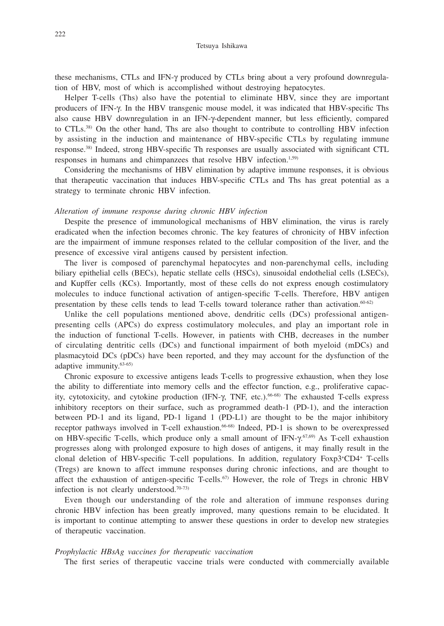these mechanisms, CTLs and IFN-g produced by CTLs bring about a very profound downregulation of HBV, most of which is accomplished without destroying hepatocytes.

Helper T-cells (Ths) also have the potential to eliminate HBV, since they are important producers of IFN-g. In the HBV transgenic mouse model, it was indicated that HBV-specific Ths also cause HBV downregulation in an IFN- $\gamma$ -dependent manner, but less efficiently, compared to CTLs.38) On the other hand, Ths are also thought to contribute to controlling HBV infection by assisting in the induction and maintenance of HBV-specific CTLs by regulating immune response.38) Indeed, strong HBV-specific Th responses are usually associated with significant CTL responses in humans and chimpanzees that resolve HBV infection.<sup>1,59)</sup>

Considering the mechanisms of HBV elimination by adaptive immune responses, it is obvious that therapeutic vaccination that induces HBV-specific CTLs and Ths has great potential as a strategy to terminate chronic HBV infection.

#### *Alteration of immune response during chronic HBV infection*

Despite the presence of immunological mechanisms of HBV elimination, the virus is rarely eradicated when the infection becomes chronic. The key features of chronicity of HBV infection are the impairment of immune responses related to the cellular composition of the liver, and the presence of excessive viral antigens caused by persistent infection.

The liver is composed of parenchymal hepatocytes and non-parenchymal cells, including biliary epithelial cells (BECs), hepatic stellate cells (HSCs), sinusoidal endothelial cells (LSECs), and Kupffer cells (KCs). Importantly, most of these cells do not express enough costimulatory molecules to induce functional activation of antigen-specific T-cells. Therefore, HBV antigen presentation by these cells tends to lead T-cells toward tolerance rather than activation. $60-62$ 

Unlike the cell populations mentioned above, dendritic cells (DCs) professional antigenpresenting cells (APCs) do express costimulatory molecules, and play an important role in the induction of functional T-cells. However, in patients with CHB, decreases in the number of circulating dentritic cells (DCs) and functional impairment of both myeloid (mDCs) and plasmacytoid DCs (pDCs) have been reported, and they may account for the dysfunction of the adaptive immunity.63-65)

Chronic exposure to excessive antigens leads T-cells to progressive exhaustion, when they lose the ability to differentiate into memory cells and the effector function, e.g., proliferative capacity, cytotoxicity, and cytokine production (IFN- $\gamma$ , TNF, etc.).<sup>66-68</sup> The exhausted T-cells express inhibitory receptors on their surface, such as programmed death-1 (PD-1), and the interaction between PD-1 and its ligand, PD-1 ligand 1 (PD-L1) are thought to be the major inhibitory receptor pathways involved in T-cell exhaustion.66-68) Indeed, PD-1 is shown to be overexpressed on HBV-specific T-cells, which produce only a small amount of  $IFN-\gamma^{(5,69)}$  As T-cell exhaustion progresses along with prolonged exposure to high doses of antigens, it may finally result in the clonal deletion of HBV-specific T-cell populations. In addition, regulatory Foxp3+ CD4+ T-cells (Tregs) are known to affect immune responses during chronic infections, and are thought to affect the exhaustion of antigen-specific T-cells.67) However, the role of Tregs in chronic HBV infection is not clearly understood.70-73)

Even though our understanding of the role and alteration of immune responses during chronic HBV infection has been greatly improved, many questions remain to be elucidated. It is important to continue attempting to answer these questions in order to develop new strategies of therapeutic vaccination.

#### *Prophylactic HBsAg vaccines for therapeutic vaccination*

The first series of therapeutic vaccine trials were conducted with commercially available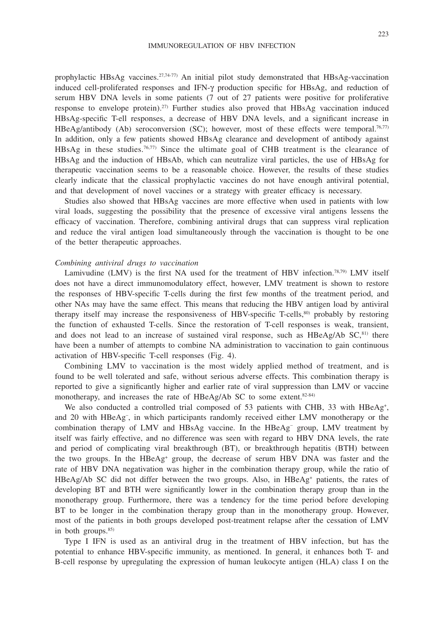prophylactic HBsAg vaccines.<sup>27,74-77)</sup> An initial pilot study demonstrated that HBsAg-vaccination induced cell-proliferated responses and IFN-g production specific for HBsAg, and reduction of serum HBV DNA levels in some patients (7 out of 27 patients were positive for proliferative response to envelope protein).27) Further studies also proved that HBsAg vaccination induced HBsAg-specific T-ell responses, a decrease of HBV DNA levels, and a significant increase in HBeAg/antibody (Ab) seroconversion (SC); however, most of these effects were temporal.<sup>76,77</sup> In addition, only a few patients showed HBsAg clearance and development of antibody against HBsAg in these studies.76,77) Since the ultimate goal of CHB treatment is the clearance of HBsAg and the induction of HBsAb, which can neutralize viral particles, the use of HBsAg for therapeutic vaccination seems to be a reasonable choice. However, the results of these studies clearly indicate that the classical prophylactic vaccines do not have enough antiviral potential, and that development of novel vaccines or a strategy with greater efficacy is necessary.

Studies also showed that HBsAg vaccines are more effective when used in patients with low viral loads, suggesting the possibility that the presence of excessive viral antigens lessens the efficacy of vaccination. Therefore, combining antiviral drugs that can suppress viral replication and reduce the viral antigen load simultaneously through the vaccination is thought to be one of the better therapeutic approaches.

#### *Combining antiviral drugs to vaccination*

Lamivudine (LMV) is the first NA used for the treatment of HBV infection.<sup>78,79)</sup> LMV itself does not have a direct immunomodulatory effect, however, LMV treatment is shown to restore the responses of HBV-specific T-cells during the first few months of the treatment period, and other NAs may have the same effect. This means that reducing the HBV antigen load by antiviral therapy itself may increase the responsiveness of HBV-specific T-cells,<sup>80)</sup> probably by restoring the function of exhausted T-cells. Since the restoration of T-cell responses is weak, transient, and does not lead to an increase of sustained viral response, such as  $HBeAg/Ab SC<sub>611</sub>$  there have been a number of attempts to combine NA administration to vaccination to gain continuous activation of HBV-specific T-cell responses (Fig. 4).

Combining LMV to vaccination is the most widely applied method of treatment, and is found to be well tolerated and safe, without serious adverse effects. This combination therapy is reported to give a significantly higher and earlier rate of viral suppression than LMV or vaccine monotherapy, and increases the rate of HBeAg/Ab SC to some extent.<sup>82-84)</sup>

We also conducted a controlled trial composed of  $53$  patients with CHB,  $33$  with HBeAg<sup>+</sup>, and 20 with HBeAg<sup>-</sup>, in which participants randomly received either LMV monotherapy or the combination therapy of LMV and HBsAg vaccine. In the HBeAg– group, LMV treatment by itself was fairly effective, and no difference was seen with regard to HBV DNA levels, the rate and period of complicating viral breakthrough (BT), or breakthrough hepatitis (BTH) between the two groups. In the HBeAg+ group, the decrease of serum HBV DNA was faster and the rate of HBV DNA negativation was higher in the combination therapy group, while the ratio of HBeAg/Ab SC did not differ between the two groups. Also, in HBeAg+ patients, the rates of developing BT and BTH were significantly lower in the combination therapy group than in the monotherapy group. Furthermore, there was a tendency for the time period before developing BT to be longer in the combination therapy group than in the monotherapy group. However, most of the patients in both groups developed post-treatment relapse after the cessation of LMV in both groups.<sup>85)</sup>

Type I IFN is used as an antiviral drug in the treatment of HBV infection, but has the potential to enhance HBV-specific immunity, as mentioned. In general, it enhances both T- and B-cell response by upregulating the expression of human leukocyte antigen (HLA) class I on the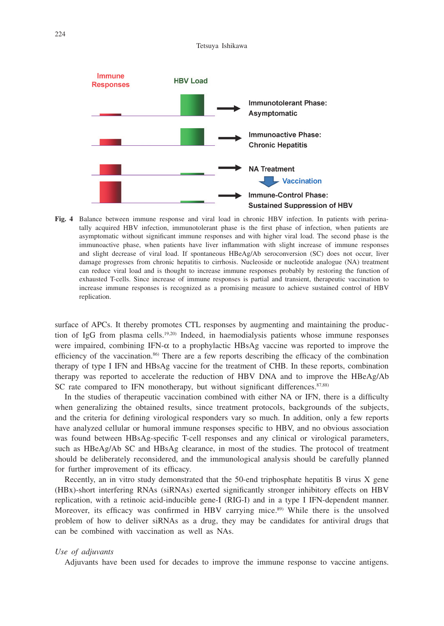

**Fig. 4** Balance between immune response and viral load in chronic HBV infection. In patients with perinatally acquired HBV infection, immunotolerant phase is the first phase of infection, when patients are asymptomatic without significant immune responses and with higher viral load. The second phase is the immunoactive phase, when patients have liver inflammation with slight increase of immune responses and slight decrease of viral load. If spontaneous HBeAg/Ab seroconversion (SC) does not occur, liver damage progresses from chronic hepatitis to cirrhosis. Nucleoside or nucleotide analogue (NA) treatment can reduce viral load and is thought to increase immune responses probably by restoring the function of exhausted T-cells. Since increase of immune responses is partial and transient, therapeutic vaccination to increase immune responses is recognized as a promising measure to achieve sustained control of HBV replication.

surface of APCs. It thereby promotes CTL responses by augmenting and maintaining the production of IgG from plasma cells.<sup>19,20</sup>) Indeed, in haemodialysis patients whose immune responses were impaired, combining IFN- $\alpha$  to a prophylactic HBsAg vaccine was reported to improve the efficiency of the vaccination.<sup>86</sup> There are a few reports describing the efficacy of the combination therapy of type I IFN and HBsAg vaccine for the treatment of CHB. In these reports, combination therapy was reported to accelerate the reduction of HBV DNA and to improve the HBeAg/Ab SC rate compared to IFN monotherapy, but without significant differences. $87,88$ )

In the studies of therapeutic vaccination combined with either NA or IFN, there is a difficulty when generalizing the obtained results, since treatment protocols, backgrounds of the subjects, and the criteria for defining virological responders vary so much. In addition, only a few reports have analyzed cellular or humoral immune responses specific to HBV, and no obvious association was found between HBsAg-specific T-cell responses and any clinical or virological parameters, such as HBeAg/Ab SC and HBsAg clearance, in most of the studies. The protocol of treatment should be deliberately reconsidered, and the immunological analysis should be carefully planned for further improvement of its efficacy.

Recently, an in vitro study demonstrated that the 50-end triphosphate hepatitis B virus X gene (HBx)-short interfering RNAs (siRNAs) exerted significantly stronger inhibitory effects on HBV replication, with a retinoic acid-inducible gene-I (RIG-I) and in a type I IFN-dependent manner. Moreover, its efficacy was confirmed in HBV carrying mice.<sup>89)</sup> While there is the unsolved problem of how to deliver siRNAs as a drug, they may be candidates for antiviral drugs that can be combined with vaccination as well as NAs.

#### *Use of adjuvants*

Adjuvants have been used for decades to improve the immune response to vaccine antigens.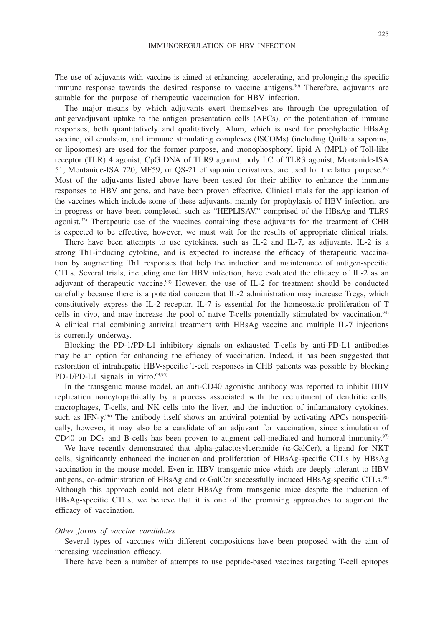The use of adjuvants with vaccine is aimed at enhancing, accelerating, and prolonging the specific immune response towards the desired response to vaccine antigens.<sup>90)</sup> Therefore, adjuvants are suitable for the purpose of therapeutic vaccination for HBV infection.

The major means by which adjuvants exert themselves are through the upregulation of antigen/adjuvant uptake to the antigen presentation cells (APCs), or the potentiation of immune responses, both quantitatively and qualitatively. Alum, which is used for prophylactic HBsAg vaccine, oil emulsion, and immune stimulating complexes (ISCOMs) (including Quillaia saponins, or liposomes) are used for the former purpose, and monophosphoryl lipid A (MPL) of Toll-like receptor (TLR) 4 agonist, CpG DNA of TLR9 agonist, poly I:C of TLR3 agonist, Montanide-ISA 51, Montanide-ISA 720, MF59, or QS-21 of saponin derivatives, are used for the latter purpose.91) Most of the adjuvants listed above have been tested for their ability to enhance the immune responses to HBV antigens, and have been proven effective. Clinical trials for the application of the vaccines which include some of these adjuvants, mainly for prophylaxis of HBV infection, are in progress or have been completed, such as "HEPLISAV," comprised of the HBsAg and TLR9 agonist.<sup>92)</sup> Therapeutic use of the vaccines containing these adjuvants for the treatment of CHB is expected to be effective, however, we must wait for the results of appropriate clinical trials.

There have been attempts to use cytokines, such as IL-2 and IL-7, as adjuvants. IL-2 is a strong Th1-inducing cytokine, and is expected to increase the efficacy of therapeutic vaccination by augmenting Th1 responses that help the induction and maintenance of antigen-specific CTLs. Several trials, including one for HBV infection, have evaluated the efficacy of IL-2 as an adjuvant of therapeutic vaccine.<sup>93)</sup> However, the use of IL-2 for treatment should be conducted carefully because there is a potential concern that IL-2 administration may increase Tregs, which constitutively express the IL-2 receptor. IL-7 is essential for the homeostatic proliferation of T cells in vivo, and may increase the pool of naïve T-cells potentially stimulated by vaccination.94) A clinical trial combining antiviral treatment with HBsAg vaccine and multiple IL-7 injections is currently underway.

Blocking the PD-1/PD-L1 inhibitory signals on exhausted T-cells by anti-PD-L1 antibodies may be an option for enhancing the efficacy of vaccination. Indeed, it has been suggested that restoration of intrahepatic HBV-specific T-cell responses in CHB patients was possible by blocking PD-1/PD-L1 signals in vitro. $69,95$ )

In the transgenic mouse model, an anti-CD40 agonistic antibody was reported to inhibit HBV replication noncytopathically by a process associated with the recruitment of dendritic cells, macrophages, T-cells, and NK cells into the liver, and the induction of inflammatory cytokines, such as IFN- $\gamma$ .<sup>96)</sup> The antibody itself shows an antiviral potential by activating APCs nonspecifically, however, it may also be a candidate of an adjuvant for vaccination, since stimulation of CD40 on DCs and B-cells has been proven to augment cell-mediated and humoral immunity. $97$ 

We have recently demonstrated that alpha-galactosylceramide ( $\alpha$ -GalCer), a ligand for NKT cells, significantly enhanced the induction and proliferation of HBsAg-specific CTLs by HBsAg vaccination in the mouse model. Even in HBV transgenic mice which are deeply tolerant to HBV antigens, co-administration of HBsAg and  $\alpha$ -GalCer successfully induced HBsAg-specific CTLs.<sup>98)</sup> Although this approach could not clear HBsAg from transgenic mice despite the induction of HBsAg-specific CTLs, we believe that it is one of the promising approaches to augment the efficacy of vaccination.

#### *Other forms of vaccine candidates*

Several types of vaccines with different compositions have been proposed with the aim of increasing vaccination efficacy.

There have been a number of attempts to use peptide-based vaccines targeting T-cell epitopes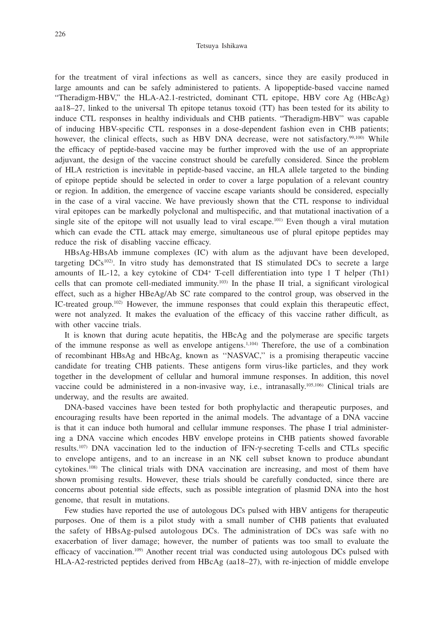for the treatment of viral infections as well as cancers, since they are easily produced in large amounts and can be safely administered to patients. A lipopeptide-based vaccine named "Theradigm-HBV," the HLA-A2.1-restricted, dominant CTL epitope, HBV core Ag (HBcAg) aa18–27, linked to the universal Th epitope tetanus toxoid (TT) has been tested for its ability to induce CTL responses in healthy individuals and CHB patients. "Theradigm-HBV" was capable of inducing HBV-specific CTL responses in a dose-dependent fashion even in CHB patients; however, the clinical effects, such as HBV DNA decrease, were not satisfactory.<sup>99,100)</sup> While the efficacy of peptide-based vaccine may be further improved with the use of an appropriate adjuvant, the design of the vaccine construct should be carefully considered. Since the problem of HLA restriction is inevitable in peptide-based vaccine, an HLA allele targeted to the binding of epitope peptide should be selected in order to cover a large population of a relevant country or region. In addition, the emergence of vaccine escape variants should be considered, especially in the case of a viral vaccine. We have previously shown that the CTL response to individual viral epitopes can be markedly polyclonal and multispecific, and that mutational inactivation of a single site of the epitope will not usually lead to viral escape.<sup>101)</sup> Even though a viral mutation which can evade the CTL attack may emerge, simultaneous use of plural epitope peptides may reduce the risk of disabling vaccine efficacy.

HBsAg-HBsAb immune complexes (IC) with alum as the adjuvant have been developed, targeting  $DCs^{102}$ . In vitro study has demonstrated that IS stimulated DCs to secrete a large amounts of IL-12, a key cytokine of CD4+ T-cell differentiation into type 1 T helper (Th1) cells that can promote cell-mediated immunity.103) In the phase II trial, a significant virological effect, such as a higher HBeAg/Ab SC rate compared to the control group, was observed in the IC-treated group.102) However, the immune responses that could explain this therapeutic effect, were not analyzed. It makes the evaluation of the efficacy of this vaccine rather difficult, as with other vaccine trials.

It is known that during acute hepatitis, the HBcAg and the polymerase are specific targets of the immune response as well as envelope antigens.1,104) Therefore, the use of a combination of recombinant HBsAg and HBcAg, known as ''NASVAC,'' is a promising therapeutic vaccine candidate for treating CHB patients. These antigens form virus-like particles, and they work together in the development of cellular and humoral immune responses. In addition, this novel vaccine could be administered in a non-invasive way, i.e., intranasally.105,106) Clinical trials are underway, and the results are awaited.

DNA-based vaccines have been tested for both prophylactic and therapeutic purposes, and encouraging results have been reported in the animal models. The advantage of a DNA vaccine is that it can induce both humoral and cellular immune responses. The phase I trial administering a DNA vaccine which encodes HBV envelope proteins in CHB patients showed favorable results.107) DNA vaccination led to the induction of IFN-g-secreting T-cells and CTLs specific to envelope antigens, and to an increase in an NK cell subset known to produce abundant cytokines.108) The clinical trials with DNA vaccination are increasing, and most of them have shown promising results. However, these trials should be carefully conducted, since there are concerns about potential side effects, such as possible integration of plasmid DNA into the host genome, that result in mutations.

Few studies have reported the use of autologous DCs pulsed with HBV antigens for therapeutic purposes. One of them is a pilot study with a small number of CHB patients that evaluated the safety of HBsAg-pulsed autologous DCs. The administration of DCs was safe with no exacerbation of liver damage; however, the number of patients was too small to evaluate the efficacy of vaccination.<sup>109)</sup> Another recent trial was conducted using autologous DCs pulsed with HLA-A2-restricted peptides derived from HBcAg (aa18–27), with re-injection of middle envelope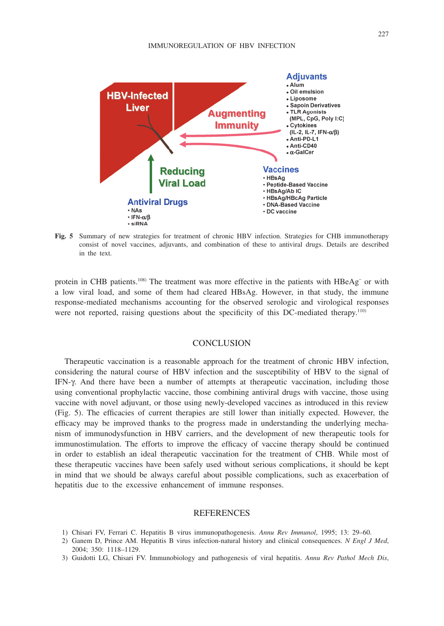

**Fig. 5** Summary of new strategies for treatment of chronic HBV infection. Strategies for CHB immunotherapy consist of novel vaccines, adjuvants, and combination of these to antiviral drugs. Details are described in the text.

protein in CHB patients.<sup>108)</sup> The treatment was more effective in the patients with  $HBeAg^-$  or with a low viral load, and some of them had cleared HBsAg. However, in that study, the immune response-mediated mechanisms accounting for the observed serologic and virological responses were not reported, raising questions about the specificity of this DC-mediated therapy.<sup>110)</sup>

## **CONCLUSION**

Therapeutic vaccination is a reasonable approach for the treatment of chronic HBV infection, considering the natural course of HBV infection and the susceptibility of HBV to the signal of IFN-g. And there have been a number of attempts at therapeutic vaccination, including those using conventional prophylactic vaccine, those combining antiviral drugs with vaccine, those using vaccine with novel adjuvant, or those using newly-developed vaccines as introduced in this review (Fig. 5). The efficacies of current therapies are still lower than initially expected. However, the efficacy may be improved thanks to the progress made in understanding the underlying mechanism of immunodysfunction in HBV carriers, and the development of new therapeutic tools for immunostimulation. The efforts to improve the efficacy of vaccine therapy should be continued in order to establish an ideal therapeutic vaccination for the treatment of CHB. While most of these therapeutic vaccines have been safely used without serious complications, it should be kept in mind that we should be always careful about possible complications, such as exacerbation of hepatitis due to the excessive enhancement of immune responses.

## REFERENCES

- 1) Chisari FV, Ferrari C. Hepatitis B virus immunopathogenesis. *Annu Rev Immunol*, 1995; 13: 29–60.
- 2) Ganem D, Prince AM. Hepatitis B virus infection-natural history and clinical consequences. *N Engl J Med*, 2004; 350: 1118–1129.
- 3) Guidotti LG, Chisari FV. Immunobiology and pathogenesis of viral hepatitis. *Annu Rev Pathol Mech Dis*,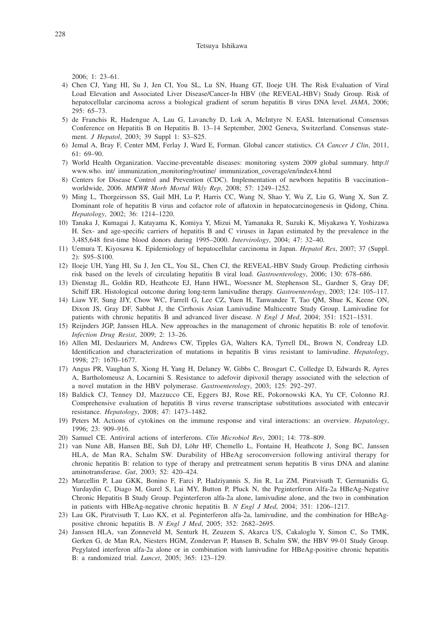2006; 1: 23–61.

- 4) Chen CJ, Yang HI, Su J, Jen CI, You SL, Lu SN, Huang GT, Iloeje UH. The Risk Evaluation of Viral Load Elevation and Associated Liver Disease/Cancer-In HBV (the REVEAL-HBV) Study Group. Risk of hepatocellular carcinoma across a biological gradient of serum hepatitis B virus DNA level. *JAMA*, 2006; 295: 65–73.
- 5) de Franchis R, Hadengue A, Lau G, Lavanchy D, Lok A, McIntyre N. EASL International Consensus Conference on Hepatitis B on Hepatitis B. 13–14 September, 2002 Geneva, Switzerland. Consensus statement. *J Hepatol*, 2003; 39 Suppl 1: S3–S25.
- 6) Jemal A, Bray F, Center MM, Ferlay J, Ward E, Forman. Global cancer statistics. *CA Cancer J Clin*, 2011, 61: 69–90.
- 7) World Health Organization. Vaccine-preventable diseases: monitoring system 2009 global summary. http:// www.who. int/ immunization\_monitoring/routine/ immunization\_coverage/en/index4.html
- 8) Centers for Disease Control and Prevention (CDC). Implementation of newborn hepatitis B vaccination– worldwide, 2006. *MMWR Morb Mortal Wkly Rep*, 2008; 57: 1249–1252.
- 9) Ming L, Thorgeirsson SS, Gail MH, Lu P, Harris CC, Wang N, Shao Y, Wu Z, Liu G, Wang X, Sun Z. Dominant role of hepatitis B virus and cofactor role of aflatoxin in hepatocarcinogenesis in Qidong, China. *Hepatology*, 2002; 36: 1214–1220.
- 10) Tanaka J, Kumagai J, Katayama K, Komiya Y, Mizui M, Yamanaka R, Suzuki K, Miyakawa Y, Yoshizawa H. Sex- and age-specific carriers of hepatitis B and C viruses in Japan estimated by the prevalence in the 3,485,648 first-time blood donors during 1995–2000. *Intervirology*, 2004; 47: 32–40.
- 11) Uemura T, Kiyosawa K. Epidemiology of hepatocellular carcinoma in Japan. *Hepatol Res*, 2007; 37 (Suppl. 2): S95–S100.
- 12) Iloeje UH, Yang HI, Su J, Jen CL, You SL, Chen CJ, the REVEAL-HBV Study Group. Predicting cirrhosis risk based on the levels of circulating hepatitis B viral load. *Gastroenterology*, 2006; 130: 678–686.
- 13) Dienstag JL, Goldin RD, Heathcote EJ, Hann HWL, Woessner M, Stephenson SL, Gardner S, Gray DF, Schiff ER. Histological outcome during long-term lamivudine therapy. *Gastroenterology*, 2003; 124: 105–117.
- 14) Liaw YF, Sung JJY, Chow WC, Farrell G, Lee CZ, Yuen H, Tanwandee T, Tao QM, Shue K, Keene ON, Dixon JS, Gray DF, Sabbat J, the Cirrhosis Asian Lamivudine Multicentre Study Group. Lamivudine for patients with chronic hepatitis B and advanced liver disease. *N Engl J Med*, 2004; 351: 1521–1531.
- 15) Reijnders JGP, Janssen HLA. New approaches in the management of chronic hepatitis B: role of tenofovir. *Infection Drug Resist*, 2009; 2: 13–26.
- 16) Allen MI, Deslauriers M, Andrews CW, Tipples GA, Walters KA, Tyrrell DL, Brown N, Condreay LD. Identification and characterization of mutations in hepatitis B virus resistant to lamivudine. *Hepatology*, 1998; 27: 1670–1677.
- 17) Angus PR, Vaughan S, Xiong H, Yang H, Delaney W, Gibbs C, Brosgart C, Colledge D, Edwards R, Ayres A, Bartholomeusz A, Locarnini S. Resistance to adefovir dipivoxil therapy associated with the selection of a novel mutation in the HBV polymerase. *Gastroenterology*, 2003; 125: 292–297.
- 18) Baldick CJ, Tenney DJ, Mazzucco CE, Eggers BJ, Rose RE, Pokornowski KA, Yu CF, Colonno RJ. Comprehensive evaluation of hepatitis B virus reverse transcriptase substitutions associated with entecavir resistance. *Hepatology*, 2008; 47: 1473–1482.
- 19) Peters M. Actions of cytokines on the immune response and viral interactions: an overview. *Hepatology*, 1996; 23: 909–916.
- 20) Samuel CE. Antiviral actions of interferons. *Clin Microbiol Rev*, 2001; 14: 778–809.
- 21) van Nune AB, Hansen BE, Suh DJ, Löhr HF, Chemello L, Fontaine H, Heathcote J, Song BC, Janssen HLA, de Man RA, Schalm SW. Durability of HBeAg seroconversion following antiviral therapy for chronic hepatitis B: relation to type of therapy and pretreatment serum hepatitis B virus DNA and alanine aminotransferase. *Gut*, 2003; 52: 420–424.
- 22) Marcellin P, Lau GKK, Bonino F, Farci P, Hadziyannis S, Jin R, Lu ZM, Piratvisuth T, Germanidis G, Yurdaydin C, Diago M, Gurel S, Lai MY, Button P, Pluck N, the Peginterferon Alfa-2a HBeAg-Negative Chronic Hepatitis B Study Group. Peginterferon alfa-2a alone, lamivudine alone, and the two in combination in patients with HBeAg-negative chronic hepatitis B. *N Engl J Med*, 2004; 351: 1206–1217.
- 23) Lau GK, Piratvisuth T, Luo KX, et al. Peginterferon alfa-2a, lamivudine, and the combination for HBeAgpositive chronic hepatitis B. *N Engl J Med*, 2005; 352: 2682–2695.
- 24) Janssen HLA, van Zonneveld M, Senturk H, Zeuzem S, Akarca US, Cakaloglu Y, Simon C, So TMK, Gerken G, de Man RA, Niesters HGM, Zondervan P, Hansen B, Schalm SW, the HBV 99-01 Study Group. Pegylated interferon alfa-2a alone or in combination with lamivudine for HBeAg-positive chronic hepatitis B: a randomized trial. *Lancet*, 2005; 365: 123–129.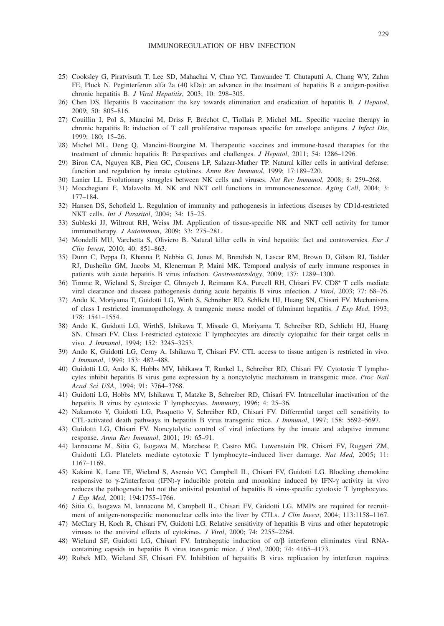- 25) Cooksley G, Piratvisuth T, Lee SD, Mahachai V, Chao YC, Tanwandee T, Chutaputti A, Chang WY, Zahm FE, Pluck N. Peginterferon alfa 2a (40 kDa): an advance in the treatment of hepatitis B e antigen-positive chronic hepatitis B. *J Viral Hepatitis*, 2003; 10: 298–305.
- 26) Chen DS. Hepatitis B vaccination: the key towards elimination and eradication of hepatitis B. *J Hepatol*, 2009; 50: 805–816.
- 27) Couillin I, Pol S, Mancini M, Driss F, Bréchot C, Tiollais P, Michel ML. Specific vaccine therapy in chronic hepatitis B: induction of T cell proliferative responses specific for envelope antigens. *J Infect Dis*, 1999; 180; 15–26.
- 28) Michel ML, Deng Q, Mancini-Bourgine M. Therapeutic vaccines and immune-based therapies for the treatment of chronic hepatitis B: Perspectives and challenges. *J Hepatol*, 2011; 54: 1286–1296.
- 29) Biron CA, Nguyen KB, Pien GC, Cousens LP, Salazar-Mather TP. Natural killer cells in antiviral defense: function and regulation by innate cytokines. *Annu Rev Immunol*, 1999; 17:189–220.
- 30) Lanier LL. Evolutionary struggles between NK cells and viruses. *Nat Rev Immunol*, 2008; 8: 259–268.
- 31) Mocchegiani E, Malavolta M. NK and NKT cell functions in immunosenescence. *Aging Cell*, 2004; 3: 177–184.
- 32) Hansen DS, Schofield L. Regulation of immunity and pathogenesis in infectious diseases by CD1d-restricted NKT cells. *Int J Parasitol*, 2004; 34: 15–25.
- 33) Subleski JJ, Wiltrout RH, Weiss JM. Application of tissue-specific NK and NKT cell activity for tumor immunotherapy. *J Autoimmun*, 2009; 33: 275–281.
- 34) Mondelli MU, Varchetta S, Oliviero B. Natural killer cells in viral hepatitis: fact and controversies. *Eur J Clin Invest*, 2010; 40: 851–863.
- 35) Dunn C, Peppa D, Khanna P, Nebbia G, Jones M, Brendish N, Lascar RM, Brown D, Gilson RJ, Tedder RJ, Dusheiko GM, Jacobs M, Klenerman P, Maini MK. Temporal analysis of early immune responses in patients with acute hepatitis B virus infection. *Gastroenterology*, 2009; 137: 1289–1300.
- 36) Timme R, Wieland S, Streiger C, Ghrayeb J, Reimann KA, Purcell RH, Chisari FV. CD8+ T cells mediate viral clearance and disease pathogenesis during acute hepatitis B virus infection. *J Virol*, 2003; 77: 68–76.
- 37) Ando K, Moriyama T, Guidotti LG, Wirth S, Schreiber RD, Schlicht HJ, Huang SN, Chisari FV. Mechanisms of class I restricted immunopathology. A tramgenic mouse model of fulminant hepatitis. *J Exp Med*, 1993; 178: 1541–1554.
- 38) Ando K, Guidotti LG, WirthS, Ishikawa T, Missale G, Moriyama T, Schreiber RD, Schlicht HJ, Huang SN, Chisari FV. Class I-restricted cytotoxic T lymphocytes are directly cytopathic for their target cells in vivo. *J Immunol*, 1994; 152: 3245–3253.
- 39) Ando K, Guidotti LG, Cerny A, Ishikawa T, Chisari FV. CTL access to tissue antigen is restricted in vivo. *J Immunol*, 1994; 153: 482–488.
- 40) Guidotti LG, Ando K, Hobbs MV, Ishikawa T, Runkel L, Schreiber RD, Chisari FV. Cytotoxic T lymphocytes inhibit hepatitis B virus gene expression by a noncytolytic mechanism in transgenic mice. *Proc Natl Acad Sci USA*, 1994; 91: 3764–3768.
- 41) Guidotti LG, Hobbs MV, Ishikawa T, Matzke B, Schreiber RD, Chisari FV. Intracellular inactivation of the hepatitis B virus by cytotoxic T lymphocytes. *Immunity*, 1996; 4: 25–36.
- 42) Nakamoto Y, Guidotti LG, Pasquetto V, Schreiber RD, Chisari FV. Differential target cell sensitivity to CTL-activated death pathways in hepatitis B virus transgenic mice. *J Immunol*, 1997; 158: 5692–5697.
- 43) Guidotti LG, Chisari FV. Noncytolytic control of viral infections by the innate and adaptive immune response. *Annu Rev Immunol*, 2001; 19: 65–91.
- 44) Iannacone M, Sitia G, Isogawa M, Marchese P, Castro MG, Lowenstein PR, Chisari FV, Ruggeri ZM, Guidotti LG. Platelets mediate cytotoxic T lymphocyte–induced liver damage. *Nat Med*, 2005; 11: 1167–1169.
- 45) Kakimi K, Lane TE, Wieland S, Asensio VC, Campbell IL, Chisari FV, Guidotti LG. Blocking chemokine responsive to  $\gamma$ -2/interferon (IFN)- $\gamma$  inducible protein and monokine induced by IFN- $\gamma$  activity in vivo reduces the pathogenetic but not the antiviral potential of hepatitis B virus-specific cytotoxic T lymphocytes. *J Exp Med*, 2001; 194:1755–1766.
- 46) Sitia G, Isogawa M, Iannacone M, Campbell IL, Chisari FV, Guidotti LG. MMPs are required for recruitment of antigen-nonspecific mononuclear cells into the liver by CTLs. *J Clin Invest*, 2004; 113:1158–1167.
- 47) McClary H, Koch R, Chisari FV, Guidotti LG. Relative sensitivity of hepatitis B virus and other hepatotropic viruses to the antiviral effects of cytokines. *J Virol*, 2000; 74: 2255–2264.
- 48) Wieland SF, Guidotti LG, Chisari FV. Intrahepatic induction of  $\alpha/\beta$  interferon eliminates viral RNAcontaining capsids in hepatitis B virus transgenic mice. *J Virol*, 2000; 74: 4165–4173.
- 49) Robek MD, Wieland SF, Chisari FV. Inhibition of hepatitis B virus replication by interferon requires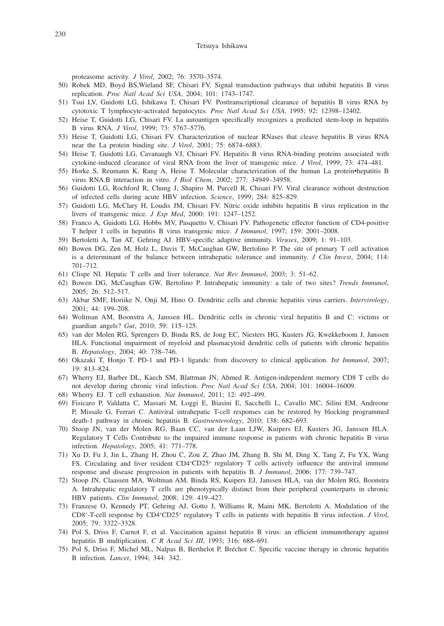proteasome activity. *J Virol*, 2002; 76: 3570–3574.

- 50) Robek MD, Boyd BS,Wieland SF, Chisari FV. Signal transduction pathways that inhibit hepatitis B virus replication. *Proc Natl Acad Sci USA*, 2004; 101: 1743–1747.
- 51) Tsui LV, Guidotti LG, Ishikawa T, Chisari FV. Posttranscriptional clearance of hepatitis B virus RNA by cytotoxic T lymphocyte-activated hepatocytes. *Proc Natl Acad Sci USA*, 1995; 92: 12398–12402.
- 52) Heise T, Guidotti LG, Chisari FV. La autoantigen specifically recognizes a predicted stem-loop in hepatitis B virus RNA. *J Virol*, 1999; 73: 5767–5776.
- 53) Heise T, Guidotti LG, Chisari FV. Characterization of nuclear RNases that cleave hepatitis B virus RNA near the La protein binding site. *J Virol*, 2001; 75: 6874–6883.
- 54) Heise T, Guidotti LG, Cavanaugh VJ, Chisari FV. Hepatitis B virus RNA-binding proteins associated with cytokine-induced clearance of viral RNA from the liver of transgenic mice. *J Virol*, 1999; 73: 474–481.
- 55) Horke S, Reumann K, Rang A, Heise T. Molecular characterization of the human La protein•hepatitis B virus RNA.B interaction in vitro. *J Biol Chem*, 2002; 277: 34949–34958.
- 56) Guidotti LG, Rochford R, Chung J, Shapiro M, Purcell R, Chisari FV. Viral clearance without destruction of infected cells during acute HBV infection. *Science*, 1999; 284: 825–829.
- 57) Guidotti LG, McClary H, Loudis JM, Chisari FV. Nitric oxide inhibits hepatitis B virus replication in the livers of transgenic mice. *J Exp Med*, 2000; 191: 1247–1252.
- 58) Franco A, Guidotti LG, Hobbs MV, Pasquetto V, Chisari FV. Pathogenetic effector function of CD4-positive T helper 1 cells in hepatitis B virus transgenic mice. *J Immunol*, 1997; 159: 2001–2008.
- 59) Bertoletti A, Tan AT, Gehring AJ. HBV-specific adaptive immunity. *Viruses*, 2009; 1: 91–103.
- 60) Bowen DG, Zen M, Holz L, Davis T, McCaughan GW, Bertolino P. The site of primary T cell activation is a determinant of the balance between intrahepatic tolerance and immunity. *J Clin Invest*, 2004; 114: 701–712.
- 61) Clispe NI. Hepatic T cells and liver tolerance. *Nat Rev Immunol*, 2003; 3: 51–62.
- 62) Bowen DG, McCaughan GW, Bertolino P. Intrahepatic immunity: a tale of two sites? *Trends Immunol*, 2005; 26: 512–517.
- 63) Akbar SMF, Horiike N, Onji M, Hino O. Dendritic cells and chronic hepatitis virus carriers. *Intervirology*, 2001; 44: 199–208.
- 64) Woltman AM, Boonstra A, Janssen HL. Dendritic cells in chronic viral hepatitis B and C: victims or guardian angels? *Gut*, 2010; 59: 115–125.
- 65) van der Molen RG, Sprengers D, Binda RS, de Jong EC, Niesters HG, Kusters JG, Kwekkeboom J, Janssen HLA. Functional impairment of myeloid and plasmacytoid dendritic cells of patients with chronic hepatitis B. *Hepatology*, 2004; 40: 738–746.
- 66) Okazaki T, Honjo T. PD-1 and PD-1 ligands: from discovery to clinical application. *Int Immunol*, 2007; 19: 813–824.
- 67) Wherry EJ, Barber DL, Kaech SM, Blattman JN, Ahmed R. Antigen-independent memory CD8 T cells do not develop during chronic viral infection. *Proc Natl Acad Sci USA*, 2004; 101: 16004–16009.
- 68) Wherry EJ. T cell exhaustion. *Nat Immunol*, 2011; 12: 492–499.
- 69) Fisicaro P, Valdatta C, Massari M, Loggi E, Biasini E, Sacchelli L, Cavallo MC, Silini EM, Andreone P, Missale G, Ferrari C. Antiviral intrahepatic T-cell responses can be restored by blocking programmed death-1 pathway in chronic hepatitis B. *Gastroenterology*, 2010; 138: 682–693.
- 70) Stoop JN, van der Molen RG, Baan CC, van der Laan LJW, Kuipers EJ, Kusters JG, Janssen HLA. Regulatory T Cells Contribute to the impaired immune response in patients with chronic hepatitis B virus infection. *Hepatology*, 2005; 41: 771–778.
- 71) Xu D, Fu J, Jin L, Zhang H, Zhou C, Zou Z, Zhao JM, Zhang B, Shi M, Ding X, Tang Z, Fu YX, Wang FS. Circulating and liver resident CD4<sup>+</sup>CD25<sup>+</sup> regulatory T cells actively influence the antiviral immune response and disease progression in patients with hepatitis B. *J Immunol*, 2006; 177: 739–747.
- 72) Stoop JN, Claassen MA, Woltman AM, Binda RS, Kuipers EJ, Janssen HLA, van der Molen RG, Boonstra A. Intrahepatic regulatory T cells are phenotypically distinct from their peripheral counterparts in chronic HBV patients. *Clin Immunol*, 2008; 129: 419–427.
- 73) Franzese O, Kennedy PT, Gehring AJ, Gotto J, Williams R, Maini MK, Bertoletti A. Modulation of the CD8+ -T-cell response by CD4+ CD25+ regulatory T cells in patients with hepatitis B virus infection. *J Virol*, 2005; 79: 3322–3328.
- 74) Pol S, Driss F, Carnot F, et al. Vaccination against hepatitis B virus: an efficient immunotherapy against hepatitis B multiplication. *C R Acad Sci III*, 1993; 316: 688–691.
- 75) Pol S, Driss F, Michel ML, Nalpas B, Berthelot P, Bréchot C. Specific vaccine therapy in chronic hepatitis B infection. *Lancet*, 1994; 344: 342.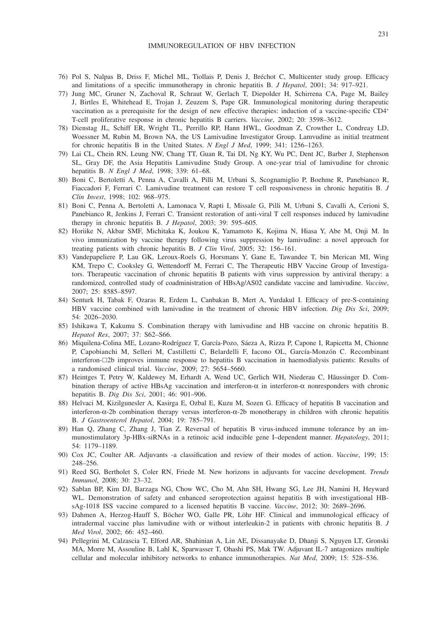- 76) Pol S, Nalpas B, Driss F, Michel ML, Tiollais P, Denis J, Bréchot C, Multicenter study group. Efficacy and limitations of a specific immunotherapy in chronic hepatitis B. *J Hepatol*, 2001; 34: 917–921.
- 77) Jung MC, Gruner N, Zachoval R, Schraut W, Gerlach T, Diepolder H, Schirrena CA, Page M, Bailey J, Birtles E, Whitehead E, Trojan J, Zeuzem S, Pape GR. Immunological monitoring during therapeutic vaccination as a prerequisite for the design of new effective therapies: induction of a vaccine-specific CD4+ T-cell proliferative response in chronic hepatitis B carriers. *Vaccine*, 2002; 20: 3598–3612.
- 78) Dienstag JL, Schiff ER, Wright TL, Perrillo RP, Hann HWL, Goodman Z, Crowther L, Condreay LD, Woessner M, Rubin M, Brown NA, the US Lamivudine Investigator Group. Lamvudine as initial treatment for chronic hepatitis B in the United States. *N Engl J Med*, 1999; 341: 1256–1263.
- 79) Lai CL, Chein RN, Leung NW, Chang TT, Guan R, Tai DI, Ng KY, Wu PC, Dent JC, Barber J, Stephenson SL, Gray DF, the Asia Hepatitis Lamivudine Study Group. A one-year trial of lamivudine for chronic hepatitis B. *N Engl J Med*, 1998; 339: 61–68.
- 80) Boni C, Bertoletti A, Penna A, Cavalli A, Pilli M, Urbani S, Scognamiglio P, Boehme R, Panebianco R, Fiaccadori F, Ferrari C. Lamivudine treatment can restore T cell responsiveness in chronic hepatitis B. *J Clin Invest*, 1998; 102: 968–975.
- 81) Boni C, Penna A, Bertoletti A, Lamonaca V, Rapti I, Missale G, Pilli M, Urbani S, Cavalli A, Cerioni S, Panebianco R, Jenkins J, Ferrari C. Transient restoration of anti-viral T cell responses induced by lamivudine therapy in chronic hepatitis B. *J Hepatol*, 2003; 39: 595–605.
- 82) Horiike N, Akbar SMF, Michitaka K, Joukou K, Yamamoto K, Kojima N, Hiasa Y, Abe M, Onji M. In vivo immunization by vaccine therapy following virus suppression by lamivudine: a novel approach for treating patients with chronic hepatitis B. *J Clin Virol*, 2005; 32: 156–161.
- 83) Vandepapeliere P, Lau GK, Leroux-Roels G, Horsmans Y, Gane E, Tawandee T, bin Merican MI, Wing KM, Trepo C, Cooksley G, Wettendorff M, Ferrari C, The Therapeutic HBV Vaccine Group of Investigators. Therapeutic vaccination of chronic hepatitis B patients with virus suppression by antiviral therapy: a randomized, controlled study of coadministration of HBsAg/AS02 candidate vaccine and lamivudine. *Vaccine*, 2007; 25: 8585–8597.
- 84) Senturk H, Tabak F, Ozaras R, Erdem L, Canbakan B, Mert A, Yurdakul I. Efficacy of pre-S-containing HBV vaccine combined with lamivudine in the treatment of chronic HBV infection. *Dig Dis Sci*, 2009; 54: 2026–2030.
- 85) Ishikawa T, Kakumu S. Combination therapy with lamivudine and HB vaccine on chronic hepatitis B. *Hepatol Res*, 2007; 37: S62–S66.
- 86) Miquilena-Colina ME, Lozano-Rodríguez T, García-Pozo, Sáeza A, Rizza P, Capone I, Rapicetta M, Chionne P, Capobianchi M, Selleri M, Castilletti C, Belardelli F, Iacono OL, García-Monzón C. Recombinant interferon-2b improves immune response to hepatitis B vaccination in haemodialysis patients: Results of a randomised clinical trial. *Vaccine*, 2009; 27: 5654–5660.
- 87) Heintges T, Petry W, Kaldewey M, Erhardt A, Wend UC, Gerlich WH, Niederau C, Hãussinger D. Combination therapy of active HBsAg vaccination and interferon- $\alpha$  in interferon- $\alpha$  nonresponders with chronic hepatitis B. *Dig Dis Sci*, 2001; 46: 901–906.
- 88) Helvaci M, Kizilgunesler A, Kasirga E, Ozbal E, Kuzu M, Sozen G. Efficacy of hepatitis B vaccination and interferon-a-2b combination therapy versus interferon-a-2b monotherapy in children with chronic hepatitis B. *J Gastroenterol Hepatol*, 2004; 19: 785–791.
- 89) Han Q, Zhang C, Zhang J, Tian Z. Reversal of hepatitis B virus-induced immune tolerance by an immunostimulatory 3p-HBx-siRNAs in a retinoic acid inducible gene I–dependent manner. *Hepatology*, 2011; 54: 1179–1189.
- 90) Cox JC, Coulter AR. Adjuvants -a classification and review of their modes of action. *Vaccine*, 199; 15: 248–256.
- 91) Reed SG, Bertholet S, Coler RN, Friede M. New horizons in adjuvants for vaccine development. *Trends Immunol*, 2008; 30: 23–32.
- 92) Sablan BP, Kim DJ, Barzaga NG, Chow WC, Cho M, Ahn SH, Hwang SG, Lee JH, Namini H, Heyward WL. Demonstration of safety and enhanced seroprotection against hepatitis B with investigational HBsAg-1018 ISS vaccine compared to a licensed hepatitis B vaccine. *Vaccine*, 2012; 30: 2689–2696.
- 93) Dahmen A, Herzog-Hauff S, Böcher WO, Galle PR, Löhr HF. Clinical and immunological efficacy of intradermal vaccine plus lamivudine with or without interleukin-2 in patients with chronic hepatitis B. *J Med Virol*, 2002; 66: 452–460.
- 94) Pellegrini M, Calzascia T, Elford AR, Shahinian A, Lin AE, Dissanayake D, Dhanji S, Nguyen LT, Gronski MA, Morre M, Assouline B, Lahl K, Sparwasser T, Ohashi PS, Mak TW. Adjuvant IL-7 antagonizes multiple cellular and molecular inhibitory networks to enhance immunotherapies. *Nat Med*, 2009; 15: 528–536.